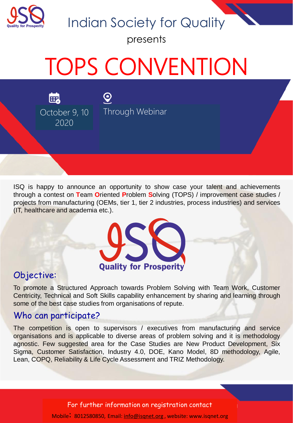

Indian Society for Quality

presents

# TOPS CONVENTION

 $\mathbf{Q}$ 

鷗 October 9, 10 | Through Webinar 2020

ISQ is happy to announce an opportunity to show case your talent and achievements through a contest on **T**eam **O**riented **P**roblem **S**olving (TOPS) / improvement case studies / projects from manufacturing (OEMs, tier 1, tier 2 industries, process industries) and services (IT, healthcare and academia etc.).



#### Objective:

To promote a Structured Approach towards Problem Solving with Team Work, Customer Centricity, Technical and Soft Skills capability enhancement by sharing and learning through some of the best case studies from organisations of repute.

#### Who can participate?

The competition is open to supervisors / executives from manufacturing and service organisations and is applicable to diverse areas of problem solving and it is methodology agnostic. Few suggested area for the Case Studies are New Product Development, Six Sigma, Customer Satisfaction, Industry 4.0, DOE, Kano Model, 8D methodology, Agile, Lean, COPQ, Reliability & Life Cycle Assessment and TRIZ Methodology.

For further information on registration contact

Mobile: 8012580850, Email: [info@isqnet.org](mailto:info@isqnet.org), website: www.isqnet.org